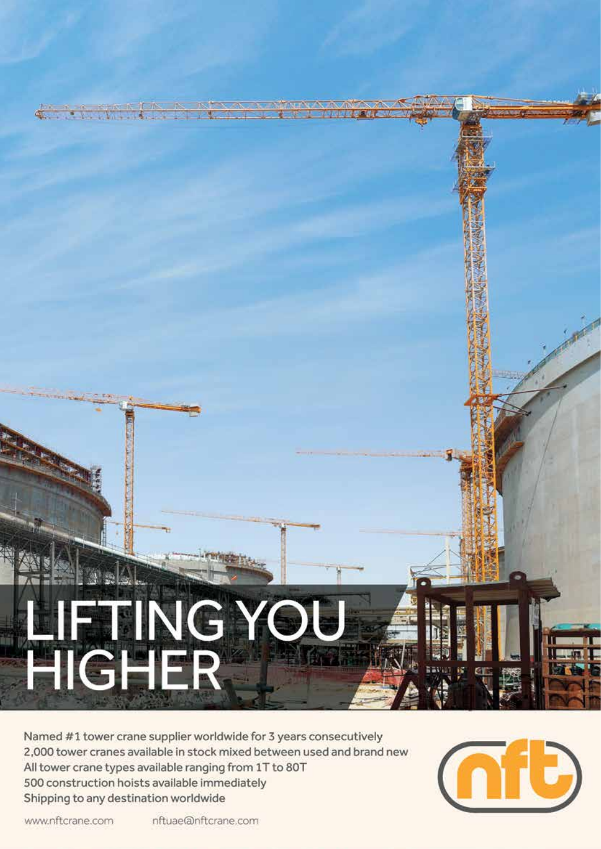# LIFTING YOU

Named #1 tower crane supplier worldwide for 3 years consecutively 2,000 tower cranes available in stock mixed between used and brand new All tower crane types available ranging from 1T to 80T 500 construction hoists available immediately Shipping to any destination worldwide



www.nftcrane.com

nftuae@nftcrane.com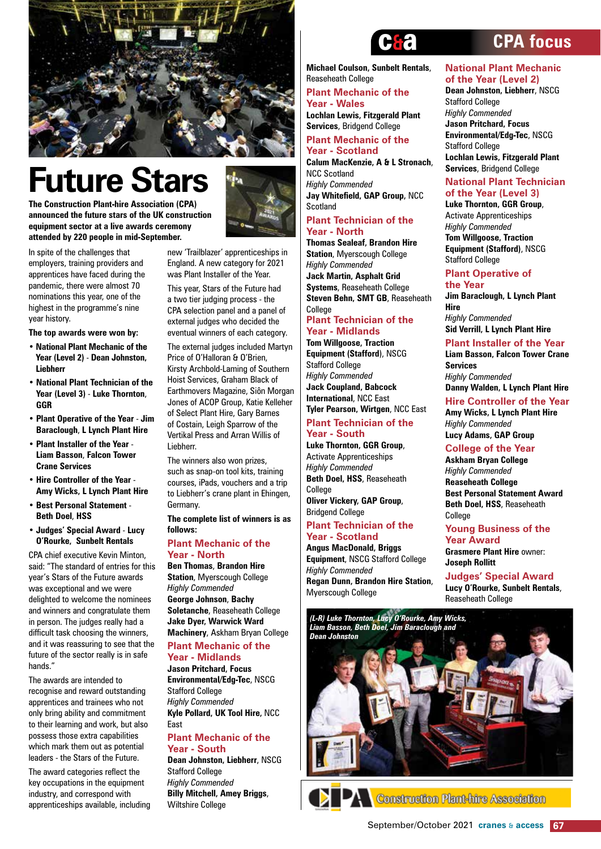

### **Future Stars**

**The Construction Plant-hire Association (CPA) announced the future stars of the UK construction equipment sector at a live awards ceremony attended by 220 people in mid-September.**



In spite of the challenges that employers, training providers and apprentices have faced during the pandemic, there were almost 70 nominations this year, one of the highest in the programme's nine year history.

**The top awards were won by:**

- **National Plant Mechanic of the Year (Level 2)** - **Dean Johnston, Liebherr**
- **National Plant Technician of the Year (Level 3)** - **Luke Thornton**, **GGR**
- **Plant Operative of the Year Jim Baraclough**, **L Lynch Plant Hire**
- **Plant Installer of the Year Liam Basson**, **Falcon Tower Crane Services**
- **Hire Controller of the Year Amy Wicks, L Lynch Plant Hire**
- **Best Personal Statement Beth Doel**, **HSS**
- **Judges' Special Award Lucy O'Rourke, Sunbelt Rentals**

CPA chief executive Kevin Minton, said: "The standard of entries for this year's Stars of the Future awards was exceptional and we were delighted to welcome the nominees and winners and congratulate them in person. The judges really had a difficult task choosing the winners, and it was reassuring to see that the future of the sector really is in safe hands."

The awards are intended to recognise and reward outstanding apprentices and trainees who not only bring ability and commitment to their learning and work, but also possess those extra capabilities which mark them out as potential leaders - the Stars of the Future.

The award categories reflect the key occupations in the equipment industry, and correspond with apprenticeships available, including

new 'Trailblazer' apprenticeships in England. A new category for 2021 was Plant Installer of the Year.

This year, Stars of the Future had a two tier judging process - the CPA selection panel and a panel of external judges who decided the eventual winners of each category.

The external judges included Martyn Price of O'Halloran & O'Brien, Kirsty Archbold-Laming of Southern Hoist Services, Graham Black of Earthmovers Magazine, Siôn Morgan Jones of ACOP Group, Katie Kelleher of Select Plant Hire, Gary Barnes of Costain, Leigh Sparrow of the Vertikal Press and Arran Willis of Liebherr.

The winners also won prizes, such as snap-on tool kits, training courses, iPads, vouchers and a trip to Liebherr's crane plant in Ehingen, Germany.

**The complete list of winners is as follows:**

#### **Plant Mechanic of the Year - North**

**Ben Thomas**, **Brandon Hire Station**, Myerscough College *Highly Commended* **George Johnson**, **Bachy Soletanche**, Reaseheath College **Jake Dyer, Warwick Ward Machinery**, Askham Bryan College

#### **Plant Mechanic of the Year - Midlands**

**Jason Pritchard, Focus Environmental/Edg-Tec**, NSCG Stafford College *Highly Commended* **Kyle Pollard, UK Tool Hire,** NCC East

#### **Plant Mechanic of the Year - South**

**Dean Johnston, Liebherr**, NSCG Stafford College *Highly Commended* **Billy Mitchell, Amey Briggs**, Wiltshire College



**Michael Coulson, Sunbelt Rentals**, Reaseheath College

#### **Plant Mechanic of the Year - Wales**

**Lochlan Lewis, Fitzgerald Plant Services**, Bridgend College

#### **Plant Mechanic of the Year - Scotland**

**Calum MacKenzie, A & L Stronach**, NCC Scotland *Highly Commended* **Jay Whitefield, GAP Group,** NCC **Scotland** 

#### **Plant Technician of the Year - North**

**Thomas Sealeaf, Brandon Hire Station**, Myerscough College *Highly Commended* **Jack Martin, Asphalt Grid Systems**, Reaseheath College **Steven Behn, SMT GB**, Reaseheath College **Plant Technician of the** 

#### **Year - Midlands**

**Tom Willgoose, Traction Equipment (Stafford**), NSCG Stafford College *Highly Commended*  **Jack Coupland, Babcock International**, NCC East **Tyler Pearson, Wirtgen**, NCC East

#### **Plant Technician of the Year - South**

**Luke Thornton, GGR Group**, Activate Apprenticeships *Highly Commended* **Beth Doel, HSS**, Reaseheath College **Oliver Vickery, GAP Group**, Bridgend College

#### **Plant Technician of the Year - Scotland**

**Angus MacDonald, Briggs Equipment**, NSCG Stafford College *Highly Commended* **Regan Dunn, Brandon Hire Station**, Myerscough College

#### **National Plant Mechanic of the Year (Level 2)**

**Dean Johnston, Liebherr**, NSCG Stafford College *Highly Commended*  **Jason Pritchard, Focus Environmental/Edg-Tec**, NSCG Stafford College **Lochlan Lewis, Fitzgerald Plant Services**, Bridgend College

#### **National Plant Technician of the Year (Level 3)**

**Luke Thornton, GGR Group**, Activate Apprenticeships *Highly Commended* **Tom Willgoose, Traction Equipment (Stafford)**, NSCG Stafford College

#### **Plant Operative of the Year**

**Jim Baraclough, L Lynch Plant Hire** *Highly Commended* **Sid Verrill, L Lynch Plant Hire**

#### **Plant Installer of the Year**

**Liam Basson, Falcon Tower Crane Services** *Highly Commended* **Danny Walden, L Lynch Plant Hire**

#### **Hire Controller of the Year**

**Amy Wicks, L Lynch Plant Hire** *Highly Commended* **Lucy Adams, GAP Group**

#### **College of the Year**

**Askham Bryan College**  *Highly Commended* **Reaseheath College Best Personal Statement Award Beth Doel, HSS**, Reaseheath College

#### **Young Business of the Year Award**

**Grasmere Plant Hire** owner: **Joseph Rollitt**

#### **Judges' Special Award Lucy O'Rourke, Sunbelt Rentals**,

Reaseheath College





#### **CPA focus**